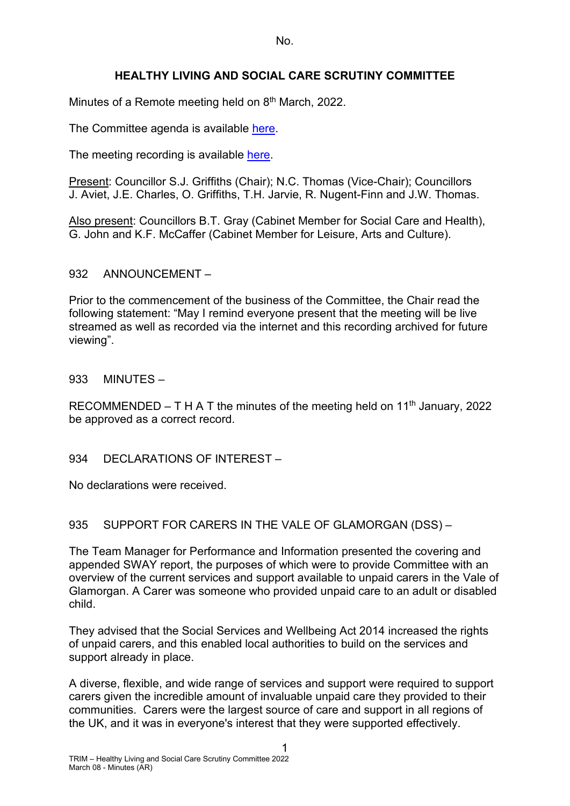# **HEALTHY LIVING AND SOCIAL CARE SCRUTINY COMMITTEE**

Minutes of a Remote meeting held on 8<sup>th</sup> March, 2022.

The Committee agenda is available [here.](https://www.valeofglamorgan.gov.uk/en/our_council/Council-Structure/minutes,_agendas_and_reports/agendas/Scrutiny-HLSC/2022/22-03-08.aspx)

The meeting recording is available [here.](https://www.youtube.com/watch?v=K-JPfQjVHm8)

Present: Councillor S.J. Griffiths (Chair); N.C. Thomas (Vice-Chair); Councillors J. Aviet, J.E. Charles, O. Griffiths, T.H. Jarvie, R. Nugent-Finn and J.W. Thomas.

Also present: Councillors B.T. Gray (Cabinet Member for Social Care and Health), G. John and K.F. McCaffer (Cabinet Member for Leisure, Arts and Culture).

#### 932 ANNOUNCEMENT –

Prior to the commencement of the business of the Committee, the Chair read the following statement: "May I remind everyone present that the meeting will be live streamed as well as recorded via the internet and this recording archived for future viewing".

#### 933 MINUTES –

RECOMMENDED – T H A T the minutes of the meeting held on 11<sup>th</sup> January, 2022 be approved as a correct record.

## 934 DECLARATIONS OF INTEREST-

No declarations were received.

#### 935 SUPPORT FOR CARERS IN THE VALE OF GLAMORGAN (DSS) –

The Team Manager for Performance and Information presented the covering and appended SWAY report, the purposes of which were to provide Committee with an overview of the current services and support available to unpaid carers in the Vale of Glamorgan. A Carer was someone who provided unpaid care to an adult or disabled child.

They advised that the Social Services and Wellbeing Act 2014 increased the rights of unpaid carers, and this enabled local authorities to build on the services and support already in place.

A diverse, flexible, and wide range of services and support were required to support carers given the incredible amount of invaluable unpaid care they provided to their communities. Carers were the largest source of care and support in all regions of the UK, and it was in everyone's interest that they were supported effectively.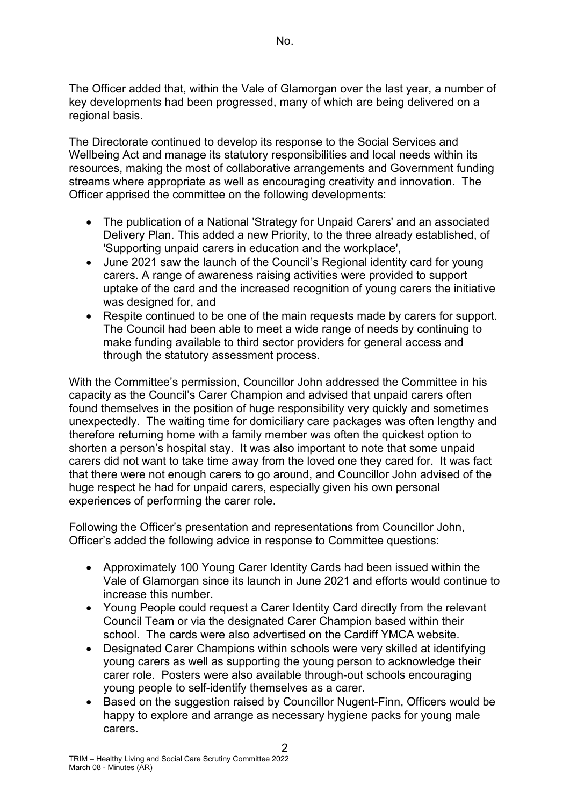The Officer added that, within the Vale of Glamorgan over the last year, a number of key developments had been progressed, many of which are being delivered on a regional basis.

The Directorate continued to develop its response to the Social Services and Wellbeing Act and manage its statutory responsibilities and local needs within its resources, making the most of collaborative arrangements and Government funding streams where appropriate as well as encouraging creativity and innovation. The Officer apprised the committee on the following developments:

- The publication of a National 'Strategy for Unpaid Carers' and an associated Delivery Plan. This added a new Priority, to the three already established, of 'Supporting unpaid carers in education and the workplace',
- June 2021 saw the launch of the Council's Regional identity card for young carers. A range of awareness raising activities were provided to support uptake of the card and the increased recognition of young carers the initiative was designed for, and
- Respite continued to be one of the main requests made by carers for support. The Council had been able to meet a wide range of needs by continuing to make funding available to third sector providers for general access and through the statutory assessment process.

With the Committee's permission, Councillor John addressed the Committee in his capacity as the Council's Carer Champion and advised that unpaid carers often found themselves in the position of huge responsibility very quickly and sometimes unexpectedly. The waiting time for domiciliary care packages was often lengthy and therefore returning home with a family member was often the quickest option to shorten a person's hospital stay. It was also important to note that some unpaid carers did not want to take time away from the loved one they cared for. It was fact that there were not enough carers to go around, and Councillor John advised of the huge respect he had for unpaid carers, especially given his own personal experiences of performing the carer role.

Following the Officer's presentation and representations from Councillor John, Officer's added the following advice in response to Committee questions:

- Approximately 100 Young Carer Identity Cards had been issued within the Vale of Glamorgan since its launch in June 2021 and efforts would continue to increase this number.
- Young People could request a Carer Identity Card directly from the relevant Council Team or via the designated Carer Champion based within their school. The cards were also advertised on the Cardiff YMCA website.
- Designated Carer Champions within schools were very skilled at identifying young carers as well as supporting the young person to acknowledge their carer role. Posters were also available through-out schools encouraging young people to self-identify themselves as a carer.
- Based on the suggestion raised by Councillor Nugent-Finn, Officers would be happy to explore and arrange as necessary hygiene packs for young male carers.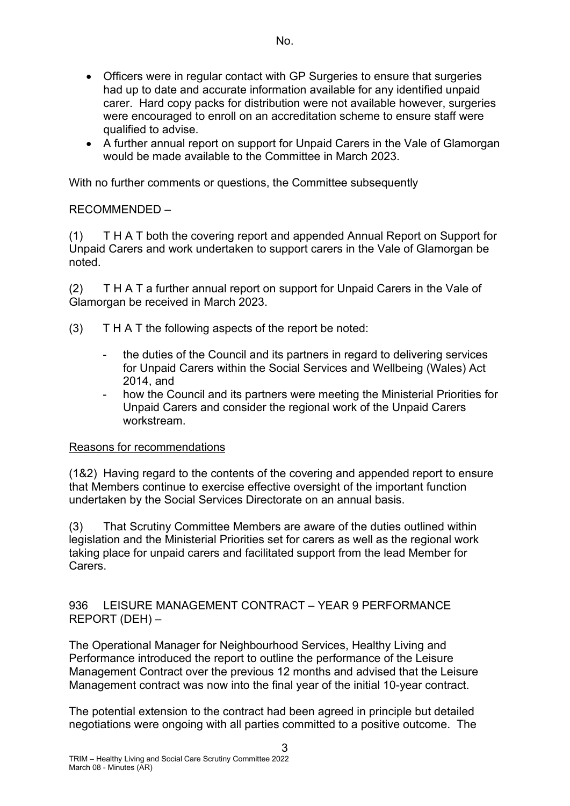- Officers were in regular contact with GP Surgeries to ensure that surgeries had up to date and accurate information available for any identified unpaid carer. Hard copy packs for distribution were not available however, surgeries were encouraged to enroll on an accreditation scheme to ensure staff were qualified to advise.
- A further annual report on support for Unpaid Carers in the Vale of Glamorgan would be made available to the Committee in March 2023.

With no further comments or questions, the Committee subsequently

# RECOMMENDED –

(1) T H A T both the covering report and appended Annual Report on Support for Unpaid Carers and work undertaken to support carers in the Vale of Glamorgan be noted.

(2) T H A T a further annual report on support for Unpaid Carers in the Vale of Glamorgan be received in March 2023.

- (3) T H A T the following aspects of the report be noted:
	- the duties of the Council and its partners in regard to delivering services for Unpaid Carers within the Social Services and Wellbeing (Wales) Act 2014, and
	- how the Council and its partners were meeting the Ministerial Priorities for Unpaid Carers and consider the regional work of the Unpaid Carers workstream.

## Reasons for recommendations

(1&2) Having regard to the contents of the covering and appended report to ensure that Members continue to exercise effective oversight of the important function undertaken by the Social Services Directorate on an annual basis.

(3) That Scrutiny Committee Members are aware of the duties outlined within legislation and the Ministerial Priorities set for carers as well as the regional work taking place for unpaid carers and facilitated support from the lead Member for Carers.

936 LEISURE MANAGEMENT CONTRACT – YEAR 9 PERFORMANCE REPORT (DEH) –

The Operational Manager for Neighbourhood Services, Healthy Living and Performance introduced the report to outline the performance of the Leisure Management Contract over the previous 12 months and advised that the Leisure Management contract was now into the final year of the initial 10-year contract.

The potential extension to the contract had been agreed in principle but detailed negotiations were ongoing with all parties committed to a positive outcome. The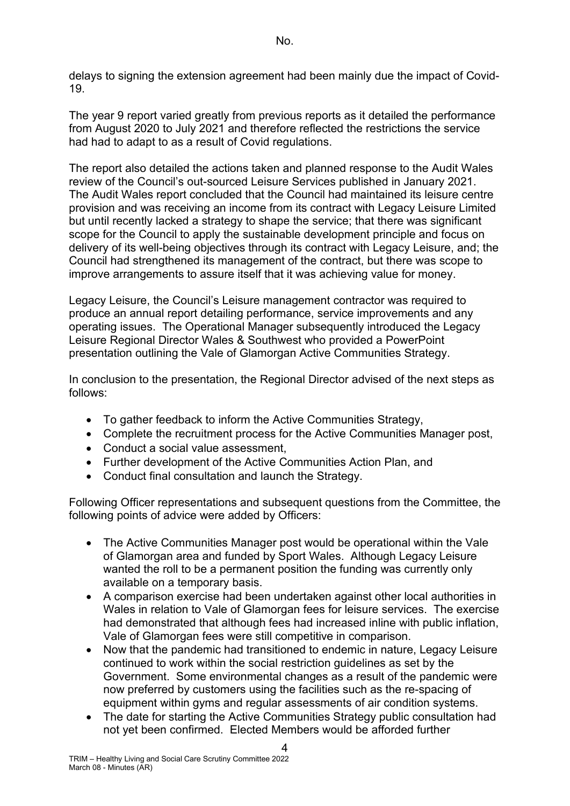delays to signing the extension agreement had been mainly due the impact of Covid-19.

The year 9 report varied greatly from previous reports as it detailed the performance from August 2020 to July 2021 and therefore reflected the restrictions the service had had to adapt to as a result of Covid regulations.

The report also detailed the actions taken and planned response to the Audit Wales review of the Council's out-sourced Leisure Services published in January 2021. The Audit Wales report concluded that the Council had maintained its leisure centre provision and was receiving an income from its contract with Legacy Leisure Limited but until recently lacked a strategy to shape the service; that there was significant scope for the Council to apply the sustainable development principle and focus on delivery of its well-being objectives through its contract with Legacy Leisure, and; the Council had strengthened its management of the contract, but there was scope to improve arrangements to assure itself that it was achieving value for money.

Legacy Leisure, the Council's Leisure management contractor was required to produce an annual report detailing performance, service improvements and any operating issues. The Operational Manager subsequently introduced the Legacy Leisure Regional Director Wales & Southwest who provided a PowerPoint presentation outlining the Vale of Glamorgan Active Communities Strategy.

In conclusion to the presentation, the Regional Director advised of the next steps as follows:

- To gather feedback to inform the Active Communities Strategy,
- Complete the recruitment process for the Active Communities Manager post,
- Conduct a social value assessment,
- Further development of the Active Communities Action Plan, and
- Conduct final consultation and launch the Strategy.

Following Officer representations and subsequent questions from the Committee, the following points of advice were added by Officers:

- The Active Communities Manager post would be operational within the Vale of Glamorgan area and funded by Sport Wales. Although Legacy Leisure wanted the roll to be a permanent position the funding was currently only available on a temporary basis.
- A comparison exercise had been undertaken against other local authorities in Wales in relation to Vale of Glamorgan fees for leisure services. The exercise had demonstrated that although fees had increased inline with public inflation, Vale of Glamorgan fees were still competitive in comparison.
- Now that the pandemic had transitioned to endemic in nature, Legacy Leisure continued to work within the social restriction guidelines as set by the Government. Some environmental changes as a result of the pandemic were now preferred by customers using the facilities such as the re-spacing of equipment within gyms and regular assessments of air condition systems.
- The date for starting the Active Communities Strategy public consultation had not yet been confirmed. Elected Members would be afforded further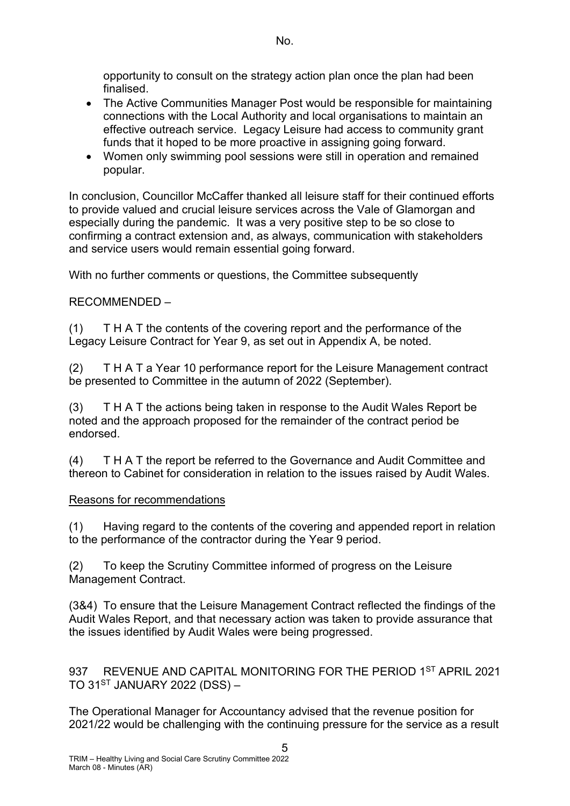opportunity to consult on the strategy action plan once the plan had been finalised.

- The Active Communities Manager Post would be responsible for maintaining connections with the Local Authority and local organisations to maintain an effective outreach service. Legacy Leisure had access to community grant funds that it hoped to be more proactive in assigning going forward.
- Women only swimming pool sessions were still in operation and remained popular.

In conclusion, Councillor McCaffer thanked all leisure staff for their continued efforts to provide valued and crucial leisure services across the Vale of Glamorgan and especially during the pandemic. It was a very positive step to be so close to confirming a contract extension and, as always, communication with stakeholders and service users would remain essential going forward.

With no further comments or questions, the Committee subsequently

# RECOMMENDED –

(1) T H A T the contents of the covering report and the performance of the Legacy Leisure Contract for Year 9, as set out in Appendix A, be noted.

(2) T H A T a Year 10 performance report for the Leisure Management contract be presented to Committee in the autumn of 2022 (September).

(3) T H A T the actions being taken in response to the Audit Wales Report be noted and the approach proposed for the remainder of the contract period be endorsed.

(4) T H A T the report be referred to the Governance and Audit Committee and thereon to Cabinet for consideration in relation to the issues raised by Audit Wales.

## Reasons for recommendations

(1) Having regard to the contents of the covering and appended report in relation to the performance of the contractor during the Year 9 period.

(2) To keep the Scrutiny Committee informed of progress on the Leisure Management Contract.

(3&4) To ensure that the Leisure Management Contract reflected the findings of the Audit Wales Report, and that necessary action was taken to provide assurance that the issues identified by Audit Wales were being progressed.

937 REVENUE AND CAPITAL MONITORING FOR THE PERIOD 1<sup>ST</sup> APRIL 2021 TO  $31<sup>ST</sup>$  JANUARY 2022 (DSS) –

The Operational Manager for Accountancy advised that the revenue position for 2021/22 would be challenging with the continuing pressure for the service as a result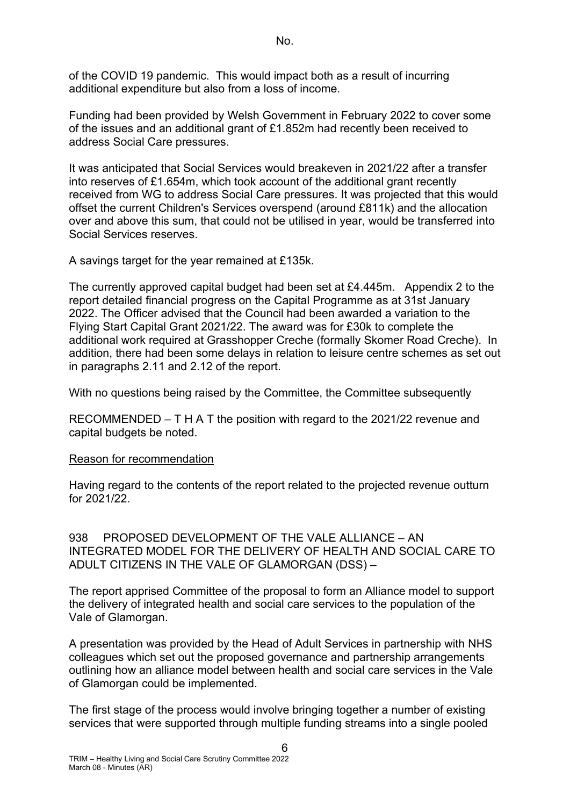of the COVID 19 pandemic. This would impact both as a result of incurring additional expenditure but also from a loss of income.

Funding had been provided by Welsh Government in February 2022 to cover some of the issues and an additional grant of £1.852m had recently been received to address Social Care pressures.

It was anticipated that Social Services would breakeven in 2021/22 after a transfer into reserves of £1.654m, which took account of the additional grant recently received from WG to address Social Care pressures. It was projected that this would offset the current Children's Services overspend (around £811k) and the allocation over and above this sum, that could not be utilised in year, would be transferred into Social Services reserves.

A savings target for the year remained at £135k.

The currently approved capital budget had been set at £4.445m. Appendix 2 to the report detailed financial progress on the Capital Programme as at 31st January 2022. The Officer advised that the Council had been awarded a variation to the Flying Start Capital Grant 2021/22. The award was for £30k to complete the additional work required at Grasshopper Creche (formally Skomer Road Creche). In addition, there had been some delays in relation to leisure centre schemes as set out in paragraphs 2.11 and 2.12 of the report.

With no questions being raised by the Committee, the Committee subsequently

RECOMMENDED – T H A T the position with regard to the 2021/22 revenue and capital budgets be noted.

## Reason for recommendation

Having regard to the contents of the report related to the projected revenue outturn for 2021/22.

938 PROPOSED DEVELOPMENT OF THE VALE ALLIANCE – AN INTEGRATED MODEL FOR THE DELIVERY OF HEALTH AND SOCIAL CARE TO ADULT CITIZENS IN THE VALE OF GLAMORGAN (DSS) –

The report apprised Committee of the proposal to form an Alliance model to support the delivery of integrated health and social care services to the population of the Vale of Glamorgan.

A presentation was provided by the Head of Adult Services in partnership with NHS colleagues which set out the proposed governance and partnership arrangements outlining how an alliance model between health and social care services in the Vale of Glamorgan could be implemented.

The first stage of the process would involve bringing together a number of existing services that were supported through multiple funding streams into a single pooled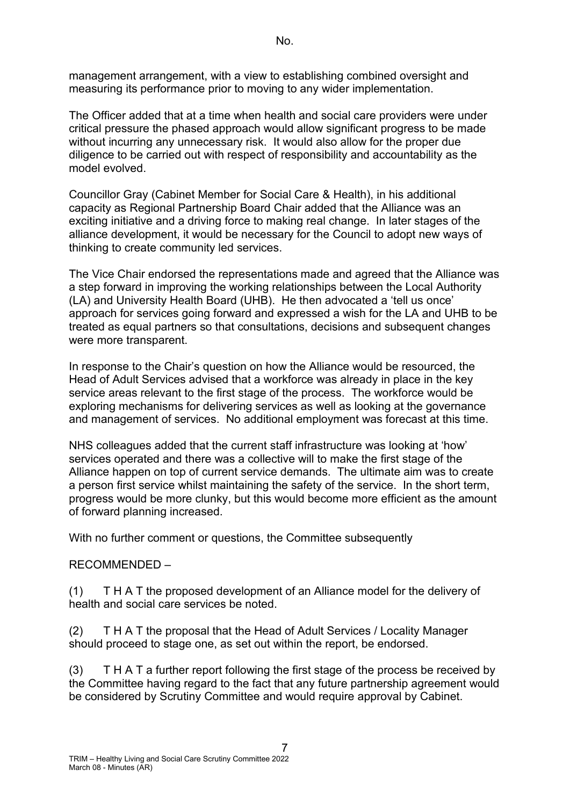management arrangement, with a view to establishing combined oversight and measuring its performance prior to moving to any wider implementation.

The Officer added that at a time when health and social care providers were under critical pressure the phased approach would allow significant progress to be made without incurring any unnecessary risk. It would also allow for the proper due diligence to be carried out with respect of responsibility and accountability as the model evolved.

Councillor Gray (Cabinet Member for Social Care & Health), in his additional capacity as Regional Partnership Board Chair added that the Alliance was an exciting initiative and a driving force to making real change. In later stages of the alliance development, it would be necessary for the Council to adopt new ways of thinking to create community led services.

The Vice Chair endorsed the representations made and agreed that the Alliance was a step forward in improving the working relationships between the Local Authority (LA) and University Health Board (UHB). He then advocated a 'tell us once' approach for services going forward and expressed a wish for the LA and UHB to be treated as equal partners so that consultations, decisions and subsequent changes were more transparent.

In response to the Chair's question on how the Alliance would be resourced, the Head of Adult Services advised that a workforce was already in place in the key service areas relevant to the first stage of the process. The workforce would be exploring mechanisms for delivering services as well as looking at the governance and management of services. No additional employment was forecast at this time.

NHS colleagues added that the current staff infrastructure was looking at 'how' services operated and there was a collective will to make the first stage of the Alliance happen on top of current service demands. The ultimate aim was to create a person first service whilst maintaining the safety of the service. In the short term, progress would be more clunky, but this would become more efficient as the amount of forward planning increased.

With no further comment or questions, the Committee subsequently

## RECOMMENDED –

(1) T H A T the proposed development of an Alliance model for the delivery of health and social care services be noted.

(2) T H A T the proposal that the Head of Adult Services / Locality Manager should proceed to stage one, as set out within the report, be endorsed.

(3) T H A T a further report following the first stage of the process be received by the Committee having regard to the fact that any future partnership agreement would be considered by Scrutiny Committee and would require approval by Cabinet.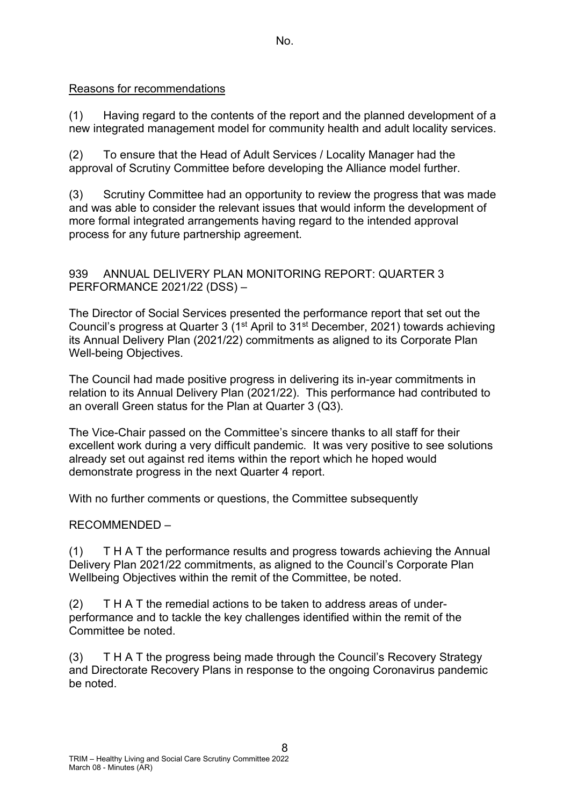#### Reasons for recommendations

(1) Having regard to the contents of the report and the planned development of a new integrated management model for community health and adult locality services.

(2) To ensure that the Head of Adult Services / Locality Manager had the approval of Scrutiny Committee before developing the Alliance model further.

(3) Scrutiny Committee had an opportunity to review the progress that was made and was able to consider the relevant issues that would inform the development of more formal integrated arrangements having regard to the intended approval process for any future partnership agreement.

## 939 ANNUAL DELIVERY PLAN MONITORING REPORT: QUARTER 3 PERFORMANCE 2021/22 (DSS) –

The Director of Social Services presented the performance report that set out the Council's progress at Quarter 3 (1st April to 31st December, 2021) towards achieving its Annual Delivery Plan (2021/22) commitments as aligned to its Corporate Plan Well-being Objectives.

The Council had made positive progress in delivering its in-year commitments in relation to its Annual Delivery Plan (2021/22). This performance had contributed to an overall Green status for the Plan at Quarter 3 (Q3).

The Vice-Chair passed on the Committee's sincere thanks to all staff for their excellent work during a very difficult pandemic. It was very positive to see solutions already set out against red items within the report which he hoped would demonstrate progress in the next Quarter 4 report.

With no further comments or questions, the Committee subsequently

## RECOMMENDED –

(1) T H A T the performance results and progress towards achieving the Annual Delivery Plan 2021/22 commitments, as aligned to the Council's Corporate Plan Wellbeing Objectives within the remit of the Committee, be noted.

(2) T H A T the remedial actions to be taken to address areas of underperformance and to tackle the key challenges identified within the remit of the Committee be noted.

(3) T H A T the progress being made through the Council's Recovery Strategy and Directorate Recovery Plans in response to the ongoing Coronavirus pandemic be noted.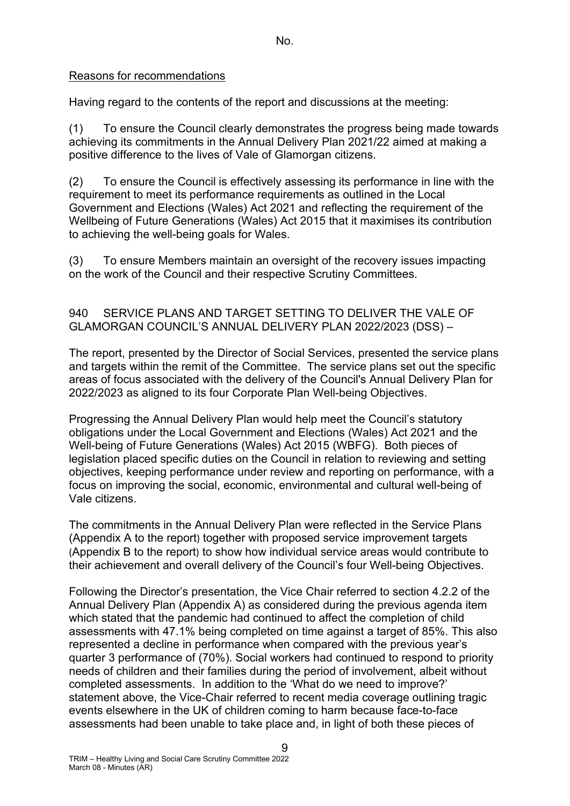# Reasons for recommendations

Having regard to the contents of the report and discussions at the meeting:

(1) To ensure the Council clearly demonstrates the progress being made towards achieving its commitments in the Annual Delivery Plan 2021/22 aimed at making a positive difference to the lives of Vale of Glamorgan citizens.

(2) To ensure the Council is effectively assessing its performance in line with the requirement to meet its performance requirements as outlined in the Local Government and Elections (Wales) Act 2021 and reflecting the requirement of the Wellbeing of Future Generations (Wales) Act 2015 that it maximises its contribution to achieving the well-being goals for Wales.

(3) To ensure Members maintain an oversight of the recovery issues impacting on the work of the Council and their respective Scrutiny Committees.

## 940 SERVICE PLANS AND TARGET SETTING TO DELIVER THE VALE OF GLAMORGAN COUNCIL'S ANNUAL DELIVERY PLAN 2022/2023 (DSS) –

The report, presented by the Director of Social Services, presented the service plans and targets within the remit of the Committee. The service plans set out the specific areas of focus associated with the delivery of the Council's Annual Delivery Plan for 2022/2023 as aligned to its four Corporate Plan Well-being Objectives.

Progressing the Annual Delivery Plan would help meet the Council's statutory obligations under the Local Government and Elections (Wales) Act 2021 and the Well-being of Future Generations (Wales) Act 2015 (WBFG). Both pieces of legislation placed specific duties on the Council in relation to reviewing and setting objectives, keeping performance under review and reporting on performance, with a focus on improving the social, economic, environmental and cultural well-being of Vale citizens.

The commitments in the Annual Delivery Plan were reflected in the Service Plans (Appendix A to the report) together with proposed service improvement targets (Appendix B to the report) to show how individual service areas would contribute to their achievement and overall delivery of the Council's four Well-being Objectives.

Following the Director's presentation, the Vice Chair referred to section 4.2.2 of the Annual Delivery Plan (Appendix A) as considered during the previous agenda item which stated that the pandemic had continued to affect the completion of child assessments with 47.1% being completed on time against a target of 85%. This also represented a decline in performance when compared with the previous year's quarter 3 performance of (70%). Social workers had continued to respond to priority needs of children and their families during the period of involvement, albeit without completed assessments. In addition to the 'What do we need to improve?' statement above, the Vice-Chair referred to recent media coverage outlining tragic events elsewhere in the UK of children coming to harm because face-to-face assessments had been unable to take place and, in light of both these pieces of

 $\Omega$